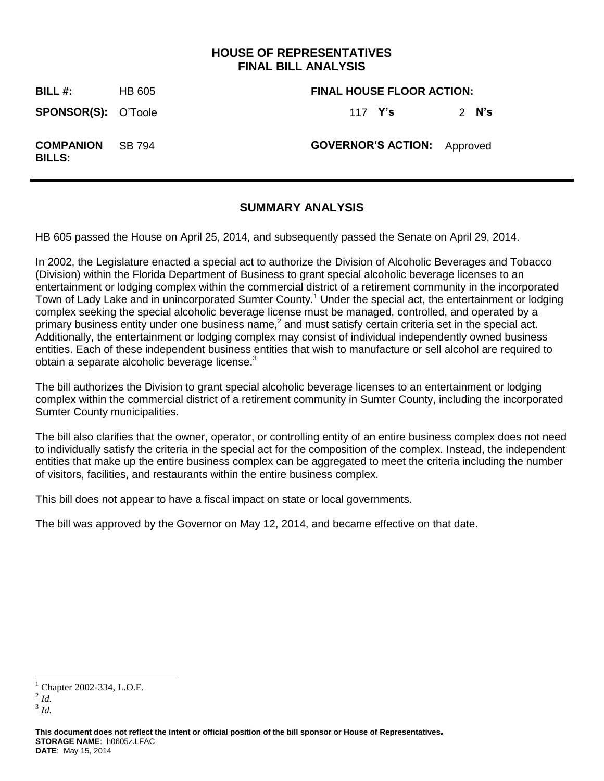## **HOUSE OF REPRESENTATIVES FINAL BILL ANALYSIS**

**BILL #:** HB 605 **FINAL HOUSE FLOOR ACTION: SPONSOR(S):** O'Toole 117 **Y's** 2 **N's COMPANION BILLS:** SB 794 **GOVERNOR'S ACTION:** Approved

### **SUMMARY ANALYSIS**

HB 605 passed the House on April 25, 2014, and subsequently passed the Senate on April 29, 2014.

In 2002, the Legislature enacted a special act to authorize the Division of Alcoholic Beverages and Tobacco (Division) within the Florida Department of Business to grant special alcoholic beverage licenses to an entertainment or lodging complex within the commercial district of a retirement community in the incorporated Town of Lady Lake and in unincorporated Sumter County.<sup>1</sup> Under the special act, the entertainment or lodging complex seeking the special alcoholic beverage license must be managed, controlled, and operated by a primary business entity under one business name,<sup>2</sup> and must satisfy certain criteria set in the special act. Additionally, the entertainment or lodging complex may consist of individual independently owned business entities. Each of these independent business entities that wish to manufacture or sell alcohol are required to obtain a separate alcoholic beverage license. $3$ 

The bill authorizes the Division to grant special alcoholic beverage licenses to an entertainment or lodging complex within the commercial district of a retirement community in Sumter County, including the incorporated Sumter County municipalities.

The bill also clarifies that the owner, operator, or controlling entity of an entire business complex does not need to individually satisfy the criteria in the special act for the composition of the complex. Instead, the independent entities that make up the entire business complex can be aggregated to meet the criteria including the number of visitors, facilities, and restaurants within the entire business complex.

This bill does not appear to have a fiscal impact on state or local governments.

The bill was approved by the Governor on May 12, 2014, and became effective on that date.

 $\overline{a}$ 

Chapter 2002-334, L.O.F.

<sup>2</sup> *Id.*

<sup>3</sup> *Id.* 

**This document does not reflect the intent or official position of the bill sponsor or House of Representatives***.* **STORAGE NAME**: h0605z.LFAC **DATE**: May 15, 2014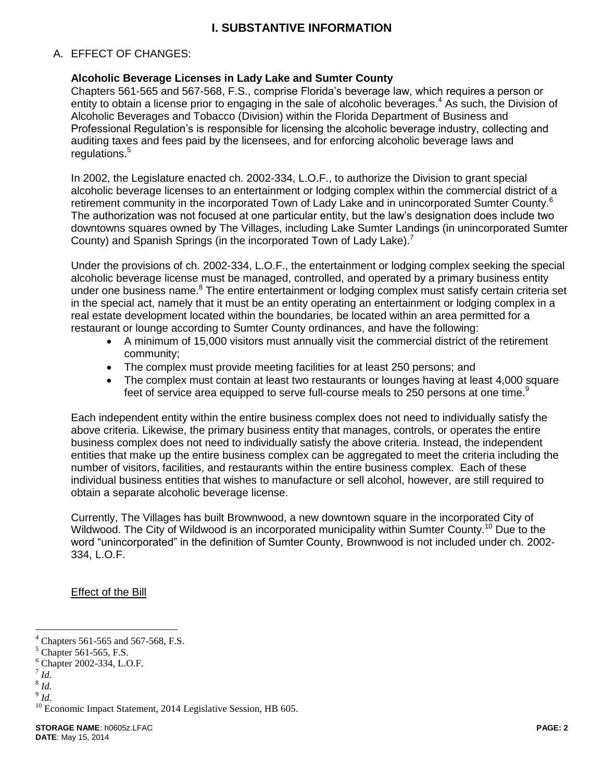## **I. SUBSTANTIVE INFORMATION**

#### A. EFFECT OF CHANGES:

#### **Alcoholic Beverage Licenses in Lady Lake and Sumter County**

Chapters 561-565 and 567-568, F.S., comprise Florida's beverage law, which requires a person or entity to obtain a license prior to engaging in the sale of alcoholic beverages.<sup>4</sup> As such, the Division of Alcoholic Beverages and Tobacco (Division) within the Florida Department of Business and Professional Regulation's is responsible for licensing the alcoholic beverage industry, collecting and auditing taxes and fees paid by the licensees, and for enforcing alcoholic beverage laws and regulations.<sup>5</sup>

In 2002, the Legislature enacted ch. 2002-334, L.O.F., to authorize the Division to grant special alcoholic beverage licenses to an entertainment or lodging complex within the commercial district of a retirement community in the incorporated Town of Lady Lake and in unincorporated Sumter County.<sup>6</sup> The authorization was not focused at one particular entity, but the law's designation does include two downtowns squares owned by The Villages, including Lake Sumter Landings (in unincorporated Sumter County) and Spanish Springs (in the incorporated Town of Lady Lake).<sup>7</sup>

Under the provisions of ch. 2002-334, L.O.F., the entertainment or lodging complex seeking the special alcoholic beverage license must be managed, controlled, and operated by a primary business entity under one business name.<sup>8</sup> The entire entertainment or lodging complex must satisfy certain criteria set in the special act, namely that it must be an entity operating an entertainment or lodging complex in a real estate development located within the boundaries, be located within an area permitted for a restaurant or lounge according to Sumter County ordinances, and have the following:

- A minimum of 15,000 visitors must annually visit the commercial district of the retirement community;
- The complex must provide meeting facilities for at least 250 persons; and
- The complex must contain at least two restaurants or lounges having at least 4,000 square feet of service area equipped to serve full-course meals to 250 persons at one time. $9$

Each independent entity within the entire business complex does not need to individually satisfy the above criteria. Likewise, the primary business entity that manages, controls, or operates the entire business complex does not need to individually satisfy the above criteria. Instead, the independent entities that make up the entire business complex can be aggregated to meet the criteria including the number of visitors, facilities, and restaurants within the entire business complex. Each of these individual business entities that wishes to manufacture or sell alcohol, however, are still required to obtain a separate alcoholic beverage license.

Currently, The Villages has built Brownwood, a new downtown square in the incorporated City of Wildwood. The City of Wildwood is an incorporated municipality within Sumter County.<sup>10</sup> Due to the word "unincorporated" in the definition of Sumter County, Brownwood is not included under ch. 2002- 334, L.O.F.

Effect of the Bill

 $\overline{a}$ 

 $4$  Chapters 561-565 and 567-568, F.S.

 $<sup>5</sup>$  Chapter 561-565, F.S.</sup>

<sup>6</sup> Chapter 2002-334, L.O.F.

<sup>7</sup> *Id.*

<sup>8</sup> *Id.*

<sup>9</sup> *Id*.

<sup>&</sup>lt;sup>10</sup> Economic Impact Statement, 2014 Legislative Session, HB 605.